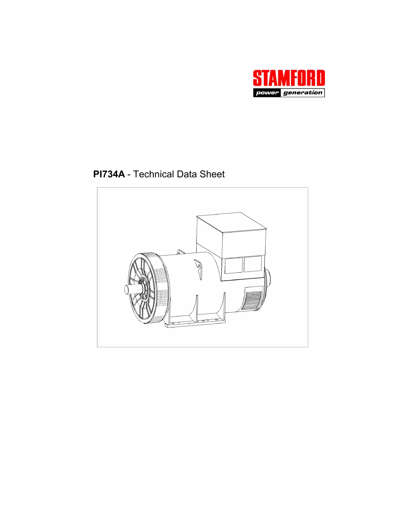

**PI734A** - Technical Data Sheet

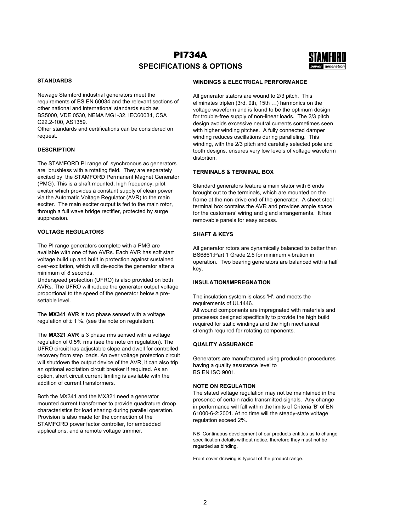# PI734A **SPECIFICATIONS & OPTIONS**



## **STANDARDS**

Newage Stamford industrial generators meet the requirements of BS EN 60034 and the relevant sections of other national and international standards such as BS5000, VDE 0530, NEMA MG1-32, IEC60034, CSA C22.2-100, AS1359.

Other standards and certifications can be considered on request.

#### **DESCRIPTION**

The STAMFORD PI range of synchronous ac generators are brushless with a rotating field. They are separately excited by the STAMFORD Permanent Magnet Generator (PMG). This is a shaft mounted, high frequency, pilot exciter which provides a constant supply of clean power via the Automatic Voltage Regulator (AVR) to the main exciter. The main exciter output is fed to the main rotor, through a full wave bridge rectifier, protected by surge suppression.

#### **VOLTAGE REGULATORS**

The PI range generators complete with a PMG are available with one of two AVRs. Each AVR has soft start voltage build up and built in protection against sustained over-excitation, which will de-excite the generator after a minimum of 8 seconds.

Underspeed protection (UFRO) is also provided on both AVRs. The UFRO will reduce the generator output voltage proportional to the speed of the generator below a presettable level.

The **MX341 AVR** is two phase sensed with a voltage regulation of  $\pm$  1 %. (see the note on regulation).

The **MX321 AVR** is 3 phase rms sensed with a voltage regulation of 0.5% rms (see the note on regulation). The UFRO circuit has adjustable slope and dwell for controlled recovery from step loads. An over voltage protection circuit will shutdown the output device of the AVR, it can also trip an optional excitation circuit breaker if required. As an option, short circuit current limiting is available with the addition of current transformers.

Both the MX341 and the MX321 need a generator mounted current transformer to provide quadrature droop characteristics for load sharing during parallel operation. Provision is also made for the connection of the STAMFORD power factor controller, for embedded applications, and a remote voltage trimmer.

### **WINDINGS & ELECTRICAL PERFORMANCE**

All generator stators are wound to 2/3 pitch. This eliminates triplen (3rd, 9th, 15th …) harmonics on the voltage waveform and is found to be the optimum design for trouble-free supply of non-linear loads. The 2/3 pitch design avoids excessive neutral currents sometimes seen with higher winding pitches. A fully connected damper winding reduces oscillations during paralleling. This winding, with the 2/3 pitch and carefully selected pole and tooth designs, ensures very low levels of voltage waveform distortion.

#### **TERMINALS & TERMINAL BOX**

Standard generators feature a main stator with 6 ends brought out to the terminals, which are mounted on the frame at the non-drive end of the generator. A sheet steel terminal box contains the AVR and provides ample space for the customers' wiring and gland arrangements. It has removable panels for easy access.

#### **SHAFT & KEYS**

All generator rotors are dynamically balanced to better than BS6861:Part 1 Grade 2.5 for minimum vibration in operation. Two bearing generators are balanced with a half key.

#### **INSULATION/IMPREGNATION**

The insulation system is class 'H', and meets the requirements of UL1446. All wound components are impregnated with materials and processes designed specifically to provide the high build required for static windings and the high mechanical strength required for rotating components.

#### **QUALITY ASSURANCE**

Generators are manufactured using production procedures having a quality assurance level to BS EN ISO 9001.

#### **NOTE ON REGULATION**

The stated voltage regulation may not be maintained in the presence of certain radio transmitted signals. Any change in performance will fall within the limits of Criteria 'B' of EN 61000-6-2:2001. At no time will the steady-state voltage regulation exceed 2%.

NB Continuous development of our products entitles us to change specification details without notice, therefore they must not be regarded as binding.

Front cover drawing is typical of the product range.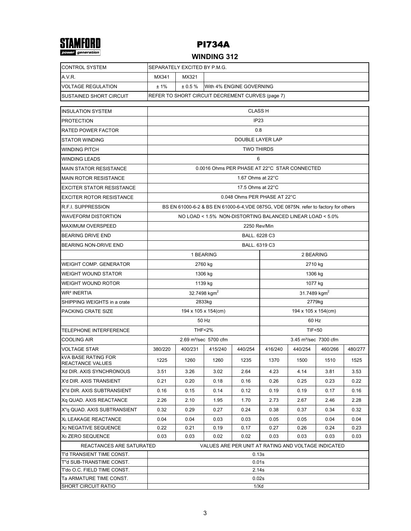

## **WINDING 312**

| <b>CONTROL SYSTEM</b>                                   | SEPARATELY EXCITED BY P.M.G.                                 |                                              |                                                                                      |                   |                                   |         |         |         |  |  |  |  |
|---------------------------------------------------------|--------------------------------------------------------------|----------------------------------------------|--------------------------------------------------------------------------------------|-------------------|-----------------------------------|---------|---------|---------|--|--|--|--|
| A.V.R.                                                  | MX341                                                        | MX321                                        |                                                                                      |                   |                                   |         |         |         |  |  |  |  |
| <b>VOLTAGE REGULATION</b>                               | ±1%                                                          | ± 0.5%                                       | With 4% ENGINE GOVERNING                                                             |                   |                                   |         |         |         |  |  |  |  |
| SUSTAINED SHORT CIRCUIT                                 | REFER TO SHORT CIRCUIT DECREMENT CURVES (page 7)             |                                              |                                                                                      |                   |                                   |         |         |         |  |  |  |  |
| <b>INSULATION SYSTEM</b>                                | <b>CLASS H</b>                                               |                                              |                                                                                      |                   |                                   |         |         |         |  |  |  |  |
| <b>PROTECTION</b>                                       | IP <sub>23</sub>                                             |                                              |                                                                                      |                   |                                   |         |         |         |  |  |  |  |
| <b>RATED POWER FACTOR</b>                               | 0.8                                                          |                                              |                                                                                      |                   |                                   |         |         |         |  |  |  |  |
| <b>STATOR WINDING</b>                                   | DOUBLE LAYER LAP                                             |                                              |                                                                                      |                   |                                   |         |         |         |  |  |  |  |
| <b>WINDING PITCH</b>                                    | <b>TWO THIRDS</b>                                            |                                              |                                                                                      |                   |                                   |         |         |         |  |  |  |  |
| <b>WINDING LEADS</b>                                    | 6                                                            |                                              |                                                                                      |                   |                                   |         |         |         |  |  |  |  |
| <b>MAIN STATOR RESISTANCE</b>                           |                                                              | 0.0016 Ohms PER PHASE AT 22°C STAR CONNECTED |                                                                                      |                   |                                   |         |         |         |  |  |  |  |
| <b>MAIN ROTOR RESISTANCE</b>                            |                                                              |                                              |                                                                                      | 1.67 Ohms at 22°C |                                   |         |         |         |  |  |  |  |
| <b>EXCITER STATOR RESISTANCE</b>                        |                                                              |                                              |                                                                                      | 17.5 Ohms at 22°C |                                   |         |         |         |  |  |  |  |
| <b>EXCITER ROTOR RESISTANCE</b>                         |                                                              |                                              |                                                                                      |                   | 0.048 Ohms PER PHASE AT 22°C      |         |         |         |  |  |  |  |
| <b>R.F.I. SUPPRESSION</b>                               |                                                              |                                              | BS EN 61000-6-2 & BS EN 61000-6-4, VDE 0875G, VDE 0875N. refer to factory for others |                   |                                   |         |         |         |  |  |  |  |
| <b>WAVEFORM DISTORTION</b>                              | NO LOAD < 1.5% NON-DISTORTING BALANCED LINEAR LOAD < 5.0%    |                                              |                                                                                      |                   |                                   |         |         |         |  |  |  |  |
| <b>MAXIMUM OVERSPEED</b>                                |                                                              |                                              |                                                                                      | 2250 Rev/Min      |                                   |         |         |         |  |  |  |  |
| <b>BEARING DRIVE END</b>                                | BALL. 6228 C3                                                |                                              |                                                                                      |                   |                                   |         |         |         |  |  |  |  |
| <b>BEARING NON-DRIVE END</b>                            | BALL. 6319 C3                                                |                                              |                                                                                      |                   |                                   |         |         |         |  |  |  |  |
|                                                         |                                                              |                                              | 1 BEARING                                                                            |                   | 2 BEARING                         |         |         |         |  |  |  |  |
| <b>WEIGHT COMP. GENERATOR</b>                           |                                                              |                                              | 2760 kg                                                                              |                   | 2710 kg                           |         |         |         |  |  |  |  |
| <b>WEIGHT WOUND STATOR</b>                              |                                                              |                                              | 1306 kg                                                                              |                   | 1306 kg                           |         |         |         |  |  |  |  |
| WEIGHT WOUND ROTOR                                      |                                                              |                                              | 1139 kg                                                                              |                   | 1077 kg                           |         |         |         |  |  |  |  |
| <b>WR<sup>2</sup> INERTIA</b>                           |                                                              |                                              | 32.7498 kgm <sup>2</sup>                                                             |                   | 31.7489 kgm <sup>2</sup>          |         |         |         |  |  |  |  |
| SHIPPING WEIGHTS in a crate                             |                                                              |                                              | 2833kg                                                                               |                   | 2779kg                            |         |         |         |  |  |  |  |
| PACKING CRATE SIZE                                      |                                                              |                                              | 194 x 105 x 154(cm)                                                                  |                   | 194 x 105 x 154(cm)               |         |         |         |  |  |  |  |
|                                                         |                                                              |                                              | 50 Hz                                                                                |                   | 60 Hz                             |         |         |         |  |  |  |  |
| <b>TELEPHONE INTERFERENCE</b>                           |                                                              |                                              | <b>THF&lt;2%</b>                                                                     |                   | <b>TIF&lt;50</b>                  |         |         |         |  |  |  |  |
| <b>COOLING AIR</b>                                      |                                                              |                                              | 2.69 m <sup>3</sup> /sec 5700 cfm                                                    |                   | 3.45 m <sup>3</sup> /sec 7300 cfm |         |         |         |  |  |  |  |
| VOLTAGE STAR                                            | 380/220                                                      | 400/231                                      | 415/240                                                                              | 440/254           | 416/240                           | 440/254 | 460/266 | 480/277 |  |  |  |  |
| <b>kVA BASE RATING FOR</b><br>REACTANCE VALUES          | 1225                                                         | 1260                                         | 1260                                                                                 | 1235              | 1370                              | 1500    | 1510    | 1525    |  |  |  |  |
| Xd DIR. AXIS SYNCHRONOUS                                | 3.51                                                         | 3.26                                         | 3.02                                                                                 | 2.64              | 4.23                              | 4.14    | 3.81    | 3.53    |  |  |  |  |
| X'd DIR. AXIS TRANSIENT                                 | 0.21                                                         | 0.20                                         | 0.18                                                                                 | 0.16              | 0.26                              | 0.25    | 0.23    | 0.22    |  |  |  |  |
| X"d DIR. AXIS SUBTRANSIENT                              | 0.16                                                         | 0.15                                         | 0.14                                                                                 | 0.12              | 0.19                              | 0.19    | 0.17    | 0.16    |  |  |  |  |
| Xq QUAD. AXIS REACTANCE                                 | 2.26                                                         | 2.10                                         | 1.95                                                                                 | 1.70              | 2.73                              | 2.67    | 2.46    | 2.28    |  |  |  |  |
| X"a QUAD, AXIS SUBTRANSIENT                             | 0.32                                                         | 0.29                                         | 0.27                                                                                 | 0.24              | 0.38                              | 0.37    | 0.34    | 0.32    |  |  |  |  |
| XL LEAKAGE REACTANCE                                    | 0.04                                                         | 0.04                                         | 0.03                                                                                 | 0.03              | 0.05                              | 0.05    | 0.04    | 0.04    |  |  |  |  |
| X <sub>2</sub> NEGATIVE SEQUENCE                        | 0.22                                                         | 0.21                                         | 0.19                                                                                 | 0.17              | 0.27                              | 0.26    | 0.24    | 0.23    |  |  |  |  |
| X <sub>0</sub> ZERO SEQUENCE                            | 0.03<br>0.03<br>0.03<br>0.02<br>0.02<br>0.03<br>0.03<br>0.03 |                                              |                                                                                      |                   |                                   |         |         |         |  |  |  |  |
| REACTANCES ARE SATURATED                                | VALUES ARE PER UNIT AT RATING AND VOLTAGE INDICATED          |                                              |                                                                                      |                   |                                   |         |         |         |  |  |  |  |
| T'd TRANSIENT TIME CONST.                               | 0.13s                                                        |                                              |                                                                                      |                   |                                   |         |         |         |  |  |  |  |
| T"d SUB-TRANSTIME CONST.<br>T'do O.C. FIELD TIME CONST. | 0.01s<br>2.14s                                               |                                              |                                                                                      |                   |                                   |         |         |         |  |  |  |  |
| Ta ARMATURE TIME CONST.                                 | 0.02s                                                        |                                              |                                                                                      |                   |                                   |         |         |         |  |  |  |  |
| <b>SHORT CIRCUIT RATIO</b>                              | 1/Xd                                                         |                                              |                                                                                      |                   |                                   |         |         |         |  |  |  |  |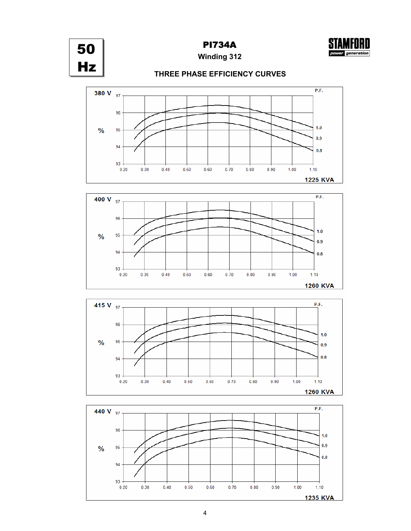





**THREE PHASE EFFICIENCY CURVES**







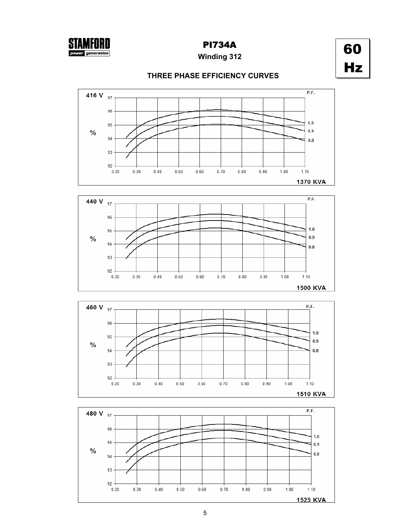

## **Winding 312**

60 Hz

## **THREE PHASE EFFICIENCY CURVES**







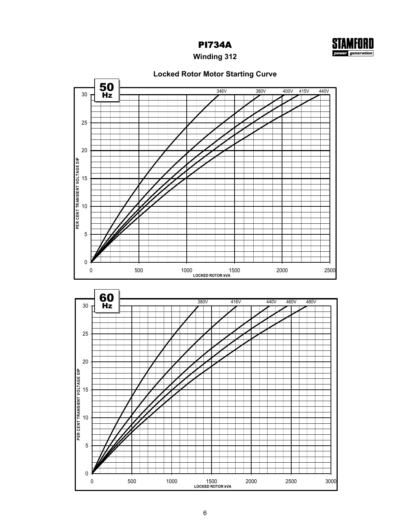



**Winding 312**

## **Locked Rotor Motor Starting Curve**



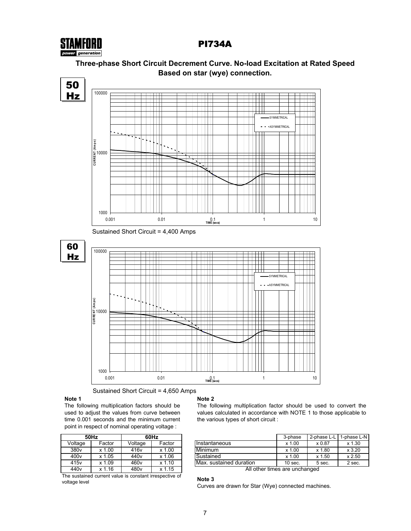



# **Three-phase Short Circuit Decrement Curve. No-load Excitation at Rated Speed**

Sustained Short Circuit = 4,650 Amps

## **Note 1**

The following multiplication factors should be used to adjust the values from curve between time 0.001 seconds and the minimum current point in respect of nominal operating voltage :

|                  | 50Hz   | 60Hz             |        |  |  |  |  |  |
|------------------|--------|------------------|--------|--|--|--|--|--|
| Voltage          | Factor | Voltage          | Factor |  |  |  |  |  |
| 380 <sub>v</sub> | x 1.00 | 416 <sub>v</sub> | x 1.00 |  |  |  |  |  |
| 400v             | x 1.05 | 440 <sub>v</sub> | x 1.06 |  |  |  |  |  |
| 415 <sub>v</sub> | x 1.09 | 460 <sub>v</sub> | x 1.10 |  |  |  |  |  |
| 440 <sub>v</sub> | x 1.16 | 480 <sub>v</sub> | x 1.15 |  |  |  |  |  |

The sustained current value is constant irrespective of voltage level

#### **Note 2**

The following multiplication factor should be used to convert the values calculated in accordance with NOTE 1 to those applicable to the various types of short circuit :

| 50Hz<br>60Hz     |            |                  | 3-phase             | 2-phase L-L                | 1-phase L-N |        |  |
|------------------|------------|------------------|---------------------|----------------------------|-------------|--------|--|
| Voltage          | Factor     | Voltage          | Factor              | IInstantaneous             | x 1.00      | x 0.87 |  |
| 380 <sub>v</sub> | .00<br>x 1 | 416v             | .00<br>$\mathbf{v}$ | Minimum                    | x 1.00      | x 1.80 |  |
| 400 <sub>v</sub> | .05<br>x.  | 440 <sub>v</sub> | .06<br>x 1          | Sustained                  | $x$ 1.00    | x 1.50 |  |
| 415 <sub>v</sub> | .09<br>x   | 460 <sub>v</sub> | 10<br>x 1           | Max.<br>sustained duration | $10$ sec.   | 5 sec. |  |

All other times are unchanged

#### **Note 3**

Curves are drawn for Star (Wye) connected machines.